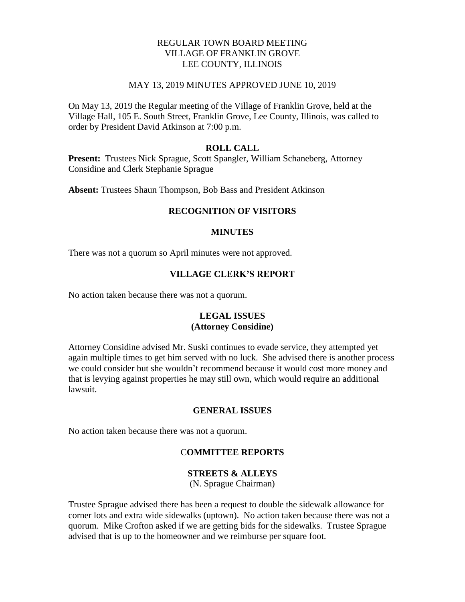# REGULAR TOWN BOARD MEETING VILLAGE OF FRANKLIN GROVE LEE COUNTY, ILLINOIS

#### MAY 13, 2019 MINUTES APPROVED JUNE 10, 2019

On May 13, 2019 the Regular meeting of the Village of Franklin Grove, held at the Village Hall, 105 E. South Street, Franklin Grove, Lee County, Illinois, was called to order by President David Atkinson at 7:00 p.m.

#### **ROLL CALL**

**Present:** Trustees Nick Sprague, Scott Spangler, William Schaneberg, Attorney Considine and Clerk Stephanie Sprague

**Absent:** Trustees Shaun Thompson, Bob Bass and President Atkinson

# **RECOGNITION OF VISITORS**

#### **MINUTES**

There was not a quorum so April minutes were not approved.

# **VILLAGE CLERK'S REPORT**

No action taken because there was not a quorum.

#### **LEGAL ISSUES (Attorney Considine)**

Attorney Considine advised Mr. Suski continues to evade service, they attempted yet again multiple times to get him served with no luck. She advised there is another process we could consider but she wouldn't recommend because it would cost more money and that is levying against properties he may still own, which would require an additional lawsuit.

# **GENERAL ISSUES**

No action taken because there was not a quorum.

# C**OMMITTEE REPORTS**

## **STREETS & ALLEYS**

(N. Sprague Chairman)

Trustee Sprague advised there has been a request to double the sidewalk allowance for corner lots and extra wide sidewalks (uptown). No action taken because there was not a quorum. Mike Crofton asked if we are getting bids for the sidewalks. Trustee Sprague advised that is up to the homeowner and we reimburse per square foot.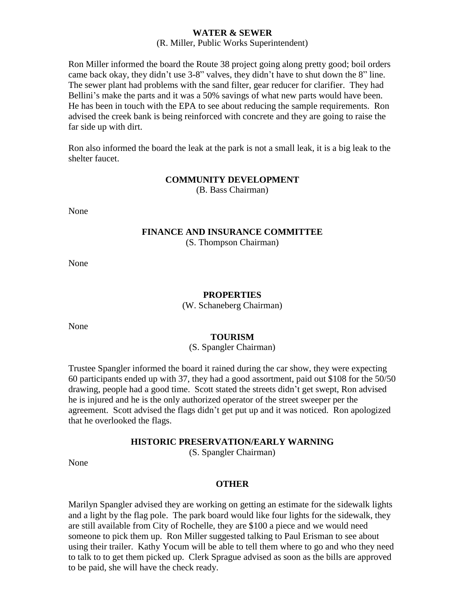#### **WATER & SEWER**

#### (R. Miller, Public Works Superintendent)

Ron Miller informed the board the Route 38 project going along pretty good; boil orders came back okay, they didn't use 3-8" valves, they didn't have to shut down the 8" line. The sewer plant had problems with the sand filter, gear reducer for clarifier. They had Bellini's make the parts and it was a 50% savings of what new parts would have been. He has been in touch with the EPA to see about reducing the sample requirements. Ron advised the creek bank is being reinforced with concrete and they are going to raise the far side up with dirt.

Ron also informed the board the leak at the park is not a small leak, it is a big leak to the shelter faucet.

# **COMMUNITY DEVELOPMENT**

(B. Bass Chairman)

None

#### **FINANCE AND INSURANCE COMMITTEE** (S. Thompson Chairman)

None

#### **PROPERTIES**

(W. Schaneberg Chairman)

None

#### **TOURISM**

(S. Spangler Chairman)

Trustee Spangler informed the board it rained during the car show, they were expecting 60 participants ended up with 37, they had a good assortment, paid out \$108 for the 50/50 drawing, people had a good time. Scott stated the streets didn't get swept, Ron advised he is injured and he is the only authorized operator of the street sweeper per the agreement. Scott advised the flags didn't get put up and it was noticed. Ron apologized that he overlooked the flags.

#### **HISTORIC PRESERVATION/EARLY WARNING**

(S. Spangler Chairman)

None

#### **OTHER**

Marilyn Spangler advised they are working on getting an estimate for the sidewalk lights and a light by the flag pole. The park board would like four lights for the sidewalk, they are still available from City of Rochelle, they are \$100 a piece and we would need someone to pick them up. Ron Miller suggested talking to Paul Erisman to see about using their trailer. Kathy Yocum will be able to tell them where to go and who they need to talk to to get them picked up. Clerk Sprague advised as soon as the bills are approved to be paid, she will have the check ready.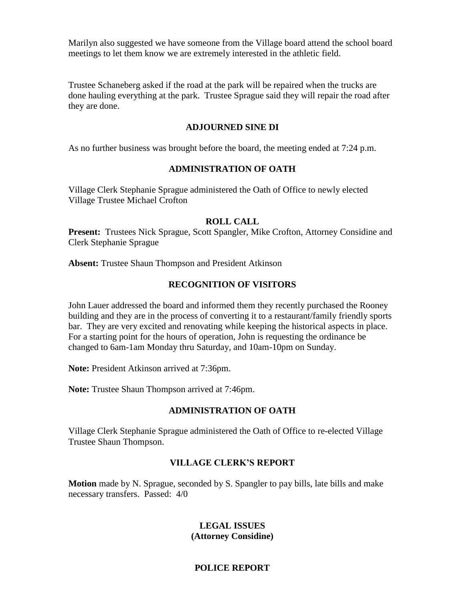Marilyn also suggested we have someone from the Village board attend the school board meetings to let them know we are extremely interested in the athletic field.

Trustee Schaneberg asked if the road at the park will be repaired when the trucks are done hauling everything at the park. Trustee Sprague said they will repair the road after they are done.

#### **ADJOURNED SINE DI**

As no further business was brought before the board, the meeting ended at 7:24 p.m.

# **ADMINISTRATION OF OATH**

Village Clerk Stephanie Sprague administered the Oath of Office to newly elected Village Trustee Michael Crofton

#### **ROLL CALL**

**Present:** Trustees Nick Sprague, Scott Spangler, Mike Crofton, Attorney Considine and Clerk Stephanie Sprague

**Absent:** Trustee Shaun Thompson and President Atkinson

# **RECOGNITION OF VISITORS**

John Lauer addressed the board and informed them they recently purchased the Rooney building and they are in the process of converting it to a restaurant/family friendly sports bar. They are very excited and renovating while keeping the historical aspects in place. For a starting point for the hours of operation, John is requesting the ordinance be changed to 6am-1am Monday thru Saturday, and 10am-10pm on Sunday.

**Note:** President Atkinson arrived at 7:36pm.

**Note:** Trustee Shaun Thompson arrived at 7:46pm.

# **ADMINISTRATION OF OATH**

Village Clerk Stephanie Sprague administered the Oath of Office to re-elected Village Trustee Shaun Thompson.

# **VILLAGE CLERK'S REPORT**

**Motion** made by N. Sprague, seconded by S. Spangler to pay bills, late bills and make necessary transfers. Passed: 4/0

# **LEGAL ISSUES (Attorney Considine)**

# **POLICE REPORT**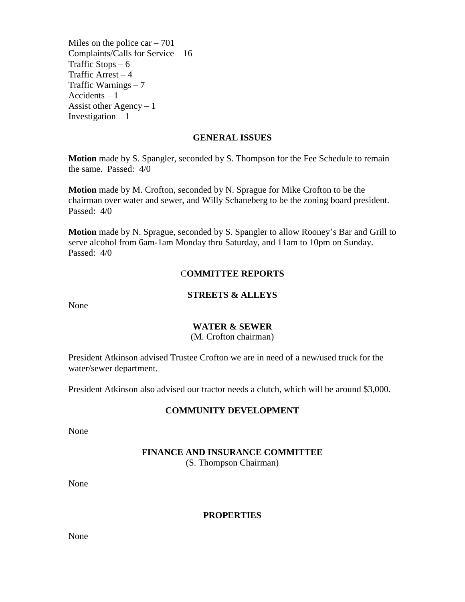Miles on the police  $car - 701$ Complaints/Calls for Service – 16 Traffic Stops  $-6$ Traffic Arrest  $-4$ Traffic Warnings – 7 Accidents – 1 Assist other Agency  $-1$ Investigation  $-1$ 

# **GENERAL ISSUES**

**Motion** made by S. Spangler, seconded by S. Thompson for the Fee Schedule to remain the same. Passed: 4/0

**Motion** made by M. Crofton, seconded by N. Sprague for Mike Crofton to be the chairman over water and sewer, and Willy Schaneberg to be the zoning board president. Passed: 4/0

**Motion** made by N. Sprague, seconded by S. Spangler to allow Rooney's Bar and Grill to serve alcohol from 6am-1am Monday thru Saturday, and 11am to 10pm on Sunday. Passed: 4/0

# C**OMMITTEE REPORTS**

#### **STREETS & ALLEYS**

None

# **WATER & SEWER**

(M. Crofton chairman)

President Atkinson advised Trustee Crofton we are in need of a new/used truck for the water/sewer department.

President Atkinson also advised our tractor needs a clutch, which will be around \$3,000.

# **COMMUNITY DEVELOPMENT**

None

# **FINANCE AND INSURANCE COMMITTEE**

(S. Thompson Chairman)

None

#### **PROPERTIES**